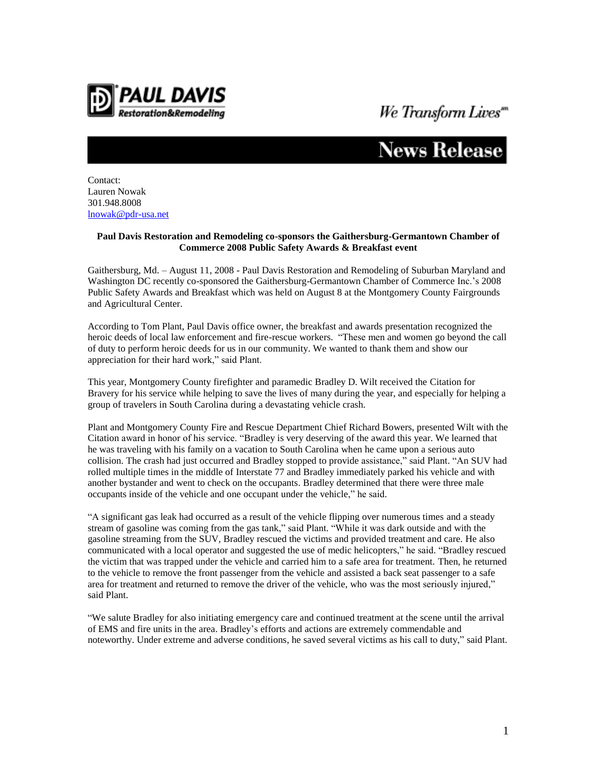

## We Transform Lives"

## News Release

Contact: Lauren Nowak 301.948.8008 [lnowak@pdr-usa.net](mailto:lnowak@pdr-usa.net)

## **Paul Davis Restoration and Remodeling co-sponsors the Gaithersburg-Germantown Chamber of Commerce 2008 Public Safety Awards & Breakfast event**

Gaithersburg, Md. – August 11, 2008 - Paul Davis Restoration and Remodeling of Suburban Maryland and Washington DC recently co-sponsored the Gaithersburg-Germantown Chamber of Commerce Inc.'s 2008 Public Safety Awards and Breakfast which was held on August 8 at the Montgomery County Fairgrounds and Agricultural Center.

According to Tom Plant, Paul Davis office owner, the breakfast and awards presentation recognized the heroic deeds of local law enforcement and fire-rescue workers. "These men and women go beyond the call of duty to perform heroic deeds for us in our community. We wanted to thank them and show our appreciation for their hard work," said Plant.

This year, Montgomery County firefighter and paramedic Bradley D. Wilt received the Citation for Bravery for his service while helping to save the lives of many during the year, and especially for helping a group of travelers in South Carolina during a devastating vehicle crash.

Plant and Montgomery County Fire and Rescue Department Chief Richard Bowers, presented Wilt with the Citation award in honor of his service. "Bradley is very deserving of the award this year. We learned that he was traveling with his family on a vacation to South Carolina when he came upon a serious auto collision. The crash had just occurred and Bradley stopped to provide assistance," said Plant. "An SUV had rolled multiple times in the middle of Interstate 77 and Bradley immediately parked his vehicle and with another bystander and went to check on the occupants. Bradley determined that there were three male occupants inside of the vehicle and one occupant under the vehicle," he said.

"A significant gas leak had occurred as a result of the vehicle flipping over numerous times and a steady stream of gasoline was coming from the gas tank," said Plant. "While it was dark outside and with the gasoline streaming from the SUV, Bradley rescued the victims and provided treatment and care. He also communicated with a local operator and suggested the use of medic helicopters," he said. "Bradley rescued the victim that was trapped under the vehicle and carried him to a safe area for treatment. Then, he returned to the vehicle to remove the front passenger from the vehicle and assisted a back seat passenger to a safe area for treatment and returned to remove the driver of the vehicle, who was the most seriously injured," said Plant.

"We salute Bradley for also initiating emergency care and continued treatment at the scene until the arrival of EMS and fire units in the area. Bradley's efforts and actions are extremely commendable and noteworthy. Under extreme and adverse conditions, he saved several victims as his call to duty," said Plant.